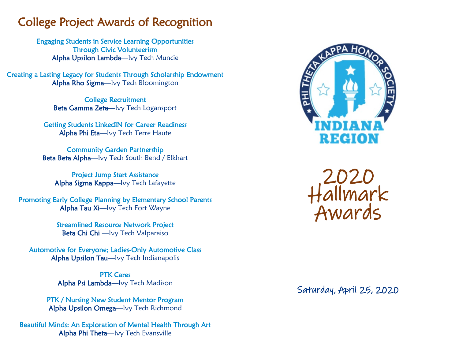## College Project Awards of Recognition

Engaging Students in Service Learning Opportunities Through Civic Volunteerism Alpha Upsilon Lambda—Ivy Tech Muncie

Creating a Lasting Legacy for Students Through Scholarship Endowment Alpha Rho Sigma—Ivy Tech Bloomington

> College Recruitment Beta Gamma Zeta—Ivy Tech Logansport

Getting Students LinkedIN for Career Readiness Alpha Phi Eta—Ivy Tech Terre Haute

Community Garden Partnership Beta Beta Alpha—Ivy Tech South Bend / Elkhart

Project Jump Start Assistance Alpha Sigma Kappa—Ivy Tech Lafayette

Promoting Early College Planning by Elementary School Parents Alpha Tau Xi—Ivy Tech Fort Wayne

> Streamlined Resource Network Project Beta Chi Chi —Ivy Tech Valparaiso

Automotive for Everyone; Ladies-Only Automotive Class Alpha Upsilon Tau—Ivy Tech Indianapolis

> PTK Cares Alpha Psi Lambda—Ivy Tech Madison

PTK / Nursing New Student Mentor Program Alpha Upsilon Omega—Ivy Tech Richmond

Beautiful Minds: An Exploration of Mental Health Through Art Alpha Phi Theta—Ivy Tech Evansville





Saturday, April 25, 2020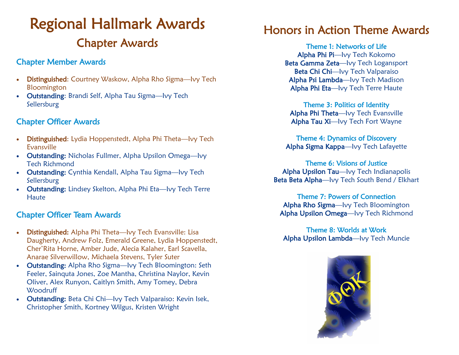# Regional Hallmark Awards Chapter Awards

### Chapter Member Awards

- Distinguished: Courtney Waskow, Alpha Rho Sigma-lvy Tech Bloomington
- Outstanding: Brandi Self, Alpha Tau Sigma—Ivy Tech Sellersburg

### Chapter Officer Awards

- **Distinguished:** Lydia Hoppenstedt, Alpha Phi Theta—Ivy Tech Evansville
- Outstanding: Nicholas Fullmer, Alpha Upsilon Omega—Ivy Tech Richmond
- Outstanding: Cynthia Kendall, Alpha Tau Sigma-lvy Tech Sellersburg
- Outstanding: Lindsey Skelton, Alpha Phi Eta—Ivy Tech Terre **Haute**

### Chapter Officer Team Awards

- Distinguished: Alpha Phi Theta—Ivy Tech Evansville: Lisa Daugherty, Andrew Folz, Emerald Greene, Lydia Hoppenstedt, Cher'Rita Horne, Amber Jude, Alecia Kalaher, Earl Scavella, Anarae Silverwillow, Michaela Stevens, Tyler Suter
- **Outstanding:** Alpha Rho Sigma-lvy Tech Bloomington: Seth Feeler, Sainquta Jones, Zoe Mantha, Christina Naylor, Kevin Oliver, Alex Runyon, Caitlyn Smith, Amy Tomey, Debra **Woodruff**
- Outstanding: Beta Chi Chi—Ivy Tech Valparaiso: Kevin Isek, Christopher Smith, Kortney Wilgus, Kristen Wright

## Honors in Action Theme Awards

Theme 1: Networks of Life Alpha Phi Pi—Ivy Tech Kokomo Beta Gamma Zeta—Ivy Tech Logansport Beta Chi Chi-lvy Tech Valparaiso Alpha Psi Lambda—Ivy Tech Madison Alpha Phi Eta—Ivy Tech Terre Haute

Theme 3: Politics of Identity Alpha Phi Theta—Ivy Tech Evansville Alpha Tau Xi—Ivy Tech Fort Wayne

Theme 4: Dynamics of Discovery Alpha Sigma Kappa—Ivy Tech Lafayette

Theme 6: Visions of Justice Alpha Upsilon Tau—Ivy Tech Indianapolis Beta Beta Alpha—Ivy Tech South Bend / Elkhart

Theme 7: Powers of Connection Alpha Rho Sigma—Ivy Tech Bloomington Alpha Upsilon Omega—Ivy Tech Richmond

Theme 8: Worlds at Work Alpha Upsilon Lambda—Ivy Tech Muncie

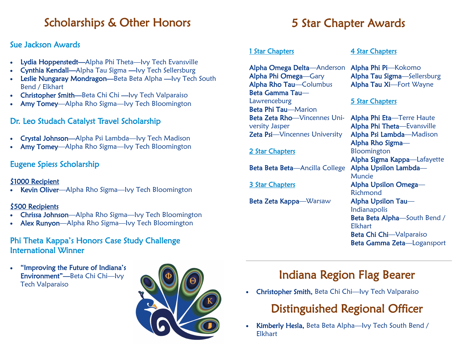## Scholarships & Other Honors

### Sue Jackson Awards

- Lydia Hoppenstedt—Alpha Phi Theta—Ivy Tech Evansville
- Cynthia Kendall—Alpha Tau Sigma —Ivy Tech Sellersburg
- Leslie Nungaray Mondragon-Beta Beta Alpha Ivy Tech South Bend / Elkhart
- Christopher Smith—Beta Chi Chi —Ivy Tech Valparaiso
- Amy Tomey—Alpha Rho Sigma—Ivy Tech Bloomington

### Dr. Leo Studach Catalyst Travel Scholarship

- Crystal Johnson—Alpha Psi Lambda—Ivy Tech Madison
- Amy Tomey—Alpha Rho Sigma—Ivy Tech Bloomington

### Eugene Spiess Scholarship

### \$1000 Recipient

Kevin Oliver—Alpha Rho Sigma—Ivy Tech Bloomington

### \$500 Recipients

- Chrissa Johnson—Alpha Rho Sigma—Ivy Tech Bloomington
- Alex Runyon—Alpha Rho Sigma—Ivy Tech Bloomington

### Phi Theta Kappa's Honors Case Study Challenge International Winner

• "Improving the Future of Indiana's Environment"—Beta Chi Chi—Ivy Tech Valparaiso



## 5 Star Chapter Awards

### 1 Star Chapters

Alpha Omega Delta—Anderson Alpha Phi Omega—Gary Alpha Rho Tau—Columbus Beta Gamma Tau— Lawrenceburg Beta Phi Tau—Marion Beta Zeta Rho—Vincennes University Jasper Zeta Psi—Vincennes University

### 2 Star Chapters

Beta Beta Beta-Ancilla College

3 Star Chapters

Beta Zeta Kappa—Warsaw

### 4 Star Chapters

Alpha Phi Pi—Kokomo Alpha Tau Sigma—Sellersburg Alpha Tau Xi—Fort Wayne

### 5 Star Chapters

Alpha Phi Eta—Terre Haute Alpha Phi Theta—Evansville Alpha Psi Lambda—Madison Alpha Rho Sigma— Bloomington Alpha Sigma Kappa—Lafayette Alpha Upsilon Lambda— Muncie Alpha Upsilon Omega— Richmond Alpha Upsilon Tau— Indianapolis Beta Beta Alpha—South Bend / Elkhart Beta Chi Chi—Valparaiso Beta Gamma Zeta—Logansport

## Indiana Region Flag Bearer

• Christopher Smith, Beta Chi Chi—Ivy Tech Valparaiso

## Distinguished Regional Officer

• Kimberly Hesla, Beta Beta Alpha—Ivy Tech South Bend / Elkhart